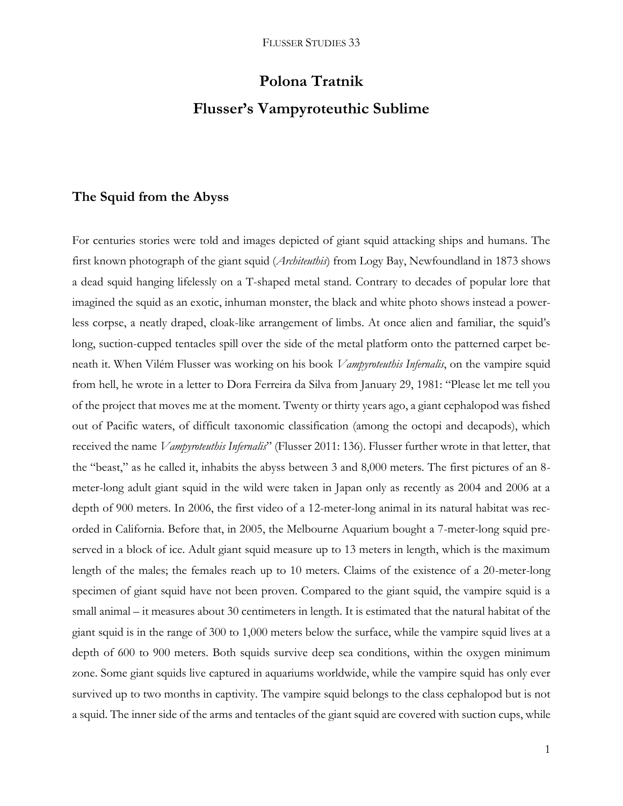# **Polona Tratnik Flusser's Vampyroteuthic Sublime**

# **The Squid from the Abyss**

For centuries stories were told and images depicted of giant squid attacking ships and humans. The first known photograph of the giant squid (*Architeuthis*) from Logy Bay, Newfoundland in 1873 shows a dead squid hanging lifelessly on a T-shaped metal stand. Contrary to decades of popular lore that imagined the squid as an exotic, inhuman monster, the black and white photo shows instead a powerless corpse, a neatly draped, cloak-like arrangement of limbs. At once alien and familiar, the squid's long, suction-cupped tentacles spill over the side of the metal platform onto the patterned carpet beneath it. When Vilém Flusser was working on his book *Vampyroteuthis Infernalis*, on the vampire squid from hell, he wrote in a letter to Dora Ferreira da Silva from January 29, 1981: "Please let me tell you of the project that moves me at the moment. Twenty or thirty years ago, a giant cephalopod was fished out of Pacific waters, of difficult taxonomic classification (among the octopi and decapods), which received the name *Vampyroteuthis Infernalis*" (Flusser 2011: 136). Flusser further wrote in that letter, that the "beast," as he called it, inhabits the abyss between 3 and 8,000 meters. The first pictures of an 8 meter-long adult giant squid in the wild were taken in Japan only as recently as 2004 and 2006 at a depth of 900 meters. In 2006, the first video of a 12-meter-long animal in its natural habitat was recorded in California. Before that, in 2005, the Melbourne Aquarium bought a 7-meter-long squid preserved in a block of ice. Adult giant squid measure up to 13 meters in length, which is the maximum length of the males; the females reach up to 10 meters. Claims of the existence of a 20-meter-long specimen of giant squid have not been proven. Compared to the giant squid, the vampire squid is a small animal – it measures about 30 centimeters in length. It is estimated that the natural habitat of the giant squid is in the range of 300 to 1,000 meters below the surface, while the vampire squid lives at a depth of 600 to 900 meters. Both squids survive deep sea conditions, within the oxygen minimum zone. Some giant squids live captured in aquariums worldwide, while the vampire squid has only ever survived up to two months in captivity. The vampire squid belongs to the class cephalopod but is not a squid. The inner side of the arms and tentacles of the giant squid are covered with suction cups, while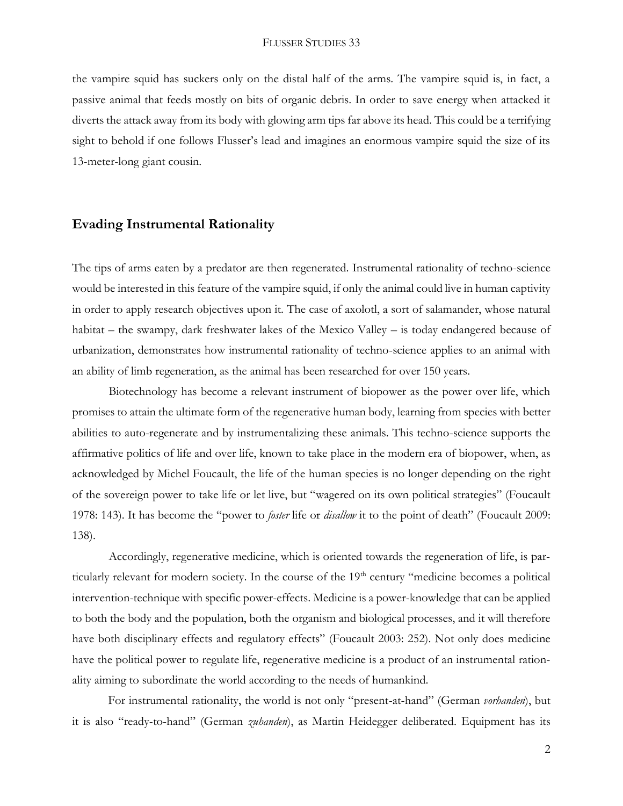the vampire squid has suckers only on the distal half of the arms. The vampire squid is, in fact, a passive animal that feeds mostly on bits of organic debris. In order to save energy when attacked it diverts the attack away from its body with glowing arm tips far above its head. This could be a terrifying sight to behold if one follows Flusser's lead and imagines an enormous vampire squid the size of its 13-meter-long giant cousin.

# **Evading Instrumental Rationality**

The tips of arms eaten by a predator are then regenerated. Instrumental rationality of techno-science would be interested in this feature of the vampire squid, if only the animal could live in human captivity in order to apply research objectives upon it. The case of axolotl, a sort of salamander, whose natural habitat – the swampy, dark freshwater lakes of the Mexico Valley – is today endangered because of urbanization, demonstrates how instrumental rationality of techno-science applies to an animal with an ability of limb regeneration, as the animal has been researched for over 150 years.

Biotechnology has become a relevant instrument of biopower as the power over life, which promises to attain the ultimate form of the regenerative human body, learning from species with better abilities to auto-regenerate and by instrumentalizing these animals. This techno-science supports the affirmative politics of life and over life, known to take place in the modern era of biopower, when, as acknowledged by Michel Foucault, the life of the human species is no longer depending on the right of the sovereign power to take life or let live, but "wagered on its own political strategies" (Foucault 1978: 143). It has become the "power to *foster* life or *disallow* it to the point of death" (Foucault 2009: 138).

Accordingly, regenerative medicine, which is oriented towards the regeneration of life, is particularly relevant for modern society. In the course of the 19<sup>th</sup> century "medicine becomes a political intervention-technique with specific power-effects. Medicine is a power-knowledge that can be applied to both the body and the population, both the organism and biological processes, and it will therefore have both disciplinary effects and regulatory effects" (Foucault 2003: 252). Not only does medicine have the political power to regulate life, regenerative medicine is a product of an instrumental rationality aiming to subordinate the world according to the needs of humankind.

For instrumental rationality, the world is not only "present-at-hand" (German *vorhanden*), but it is also "ready-to-hand" (German *zuhanden*), as Martin Heidegger deliberated. Equipment has its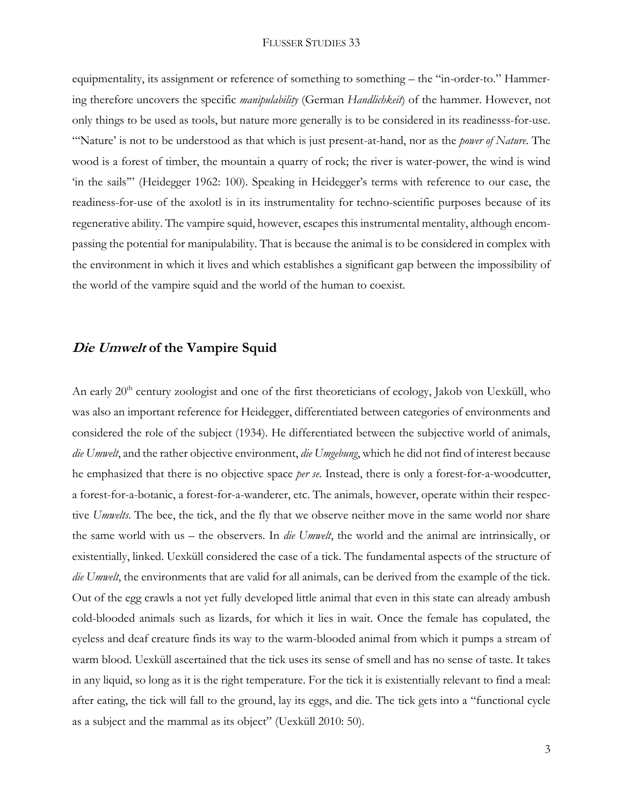equipmentality, its assignment or reference of something to something – the "in-order-to." Hammering therefore uncovers the specific *manipulability* (German *Handlichkeit*) of the hammer. However, not only things to be used as tools, but nature more generally is to be considered in its readinesss-for-use. "'Nature' is not to be understood as that which is just present-at-hand, nor as the *power of Nature*. The wood is a forest of timber, the mountain a quarry of rock; the river is water-power, the wind is wind 'in the sails'" (Heidegger 1962: 100). Speaking in Heidegger's terms with reference to our case, the readiness-for-use of the axolotl is in its instrumentality for techno-scientific purposes because of its regenerative ability. The vampire squid, however, escapes this instrumental mentality, although encompassing the potential for manipulability. That is because the animal is to be considered in complex with the environment in which it lives and which establishes a significant gap between the impossibility of the world of the vampire squid and the world of the human to coexist.

### **Die Umwelt of the Vampire Squid**

An early 20<sup>th</sup> century zoologist and one of the first theoreticians of ecology, Jakob von Uexküll, who was also an important reference for Heidegger, differentiated between categories of environments and considered the role of the subject (1934). He differentiated between the subjective world of animals, *die Umwelt*, and the rather objective environment, *die Umgebung*, which he did not find of interest because he emphasized that there is no objective space *per se*. Instead, there is only a forest-for-a-woodcutter, a forest-for-a-botanic, a forest-for-a-wanderer, etc. The animals, however, operate within their respective *Umwelts*. The bee, the tick, and the fly that we observe neither move in the same world nor share the same world with us – the observers. In *die Umwelt*, the world and the animal are intrinsically, or existentially, linked. Uexküll considered the case of a tick. The fundamental aspects of the structure of *die Umwelt*, the environments that are valid for all animals, can be derived from the example of the tick. Out of the egg crawls a not yet fully developed little animal that even in this state can already ambush cold-blooded animals such as lizards, for which it lies in wait. Once the female has copulated, the eyeless and deaf creature finds its way to the warm-blooded animal from which it pumps a stream of warm blood. Uexküll ascertained that the tick uses its sense of smell and has no sense of taste. It takes in any liquid, so long as it is the right temperature. For the tick it is existentially relevant to find a meal: after eating, the tick will fall to the ground, lay its eggs, and die. The tick gets into a "functional cycle as a subject and the mammal as its object" (Uexküll 2010: 50).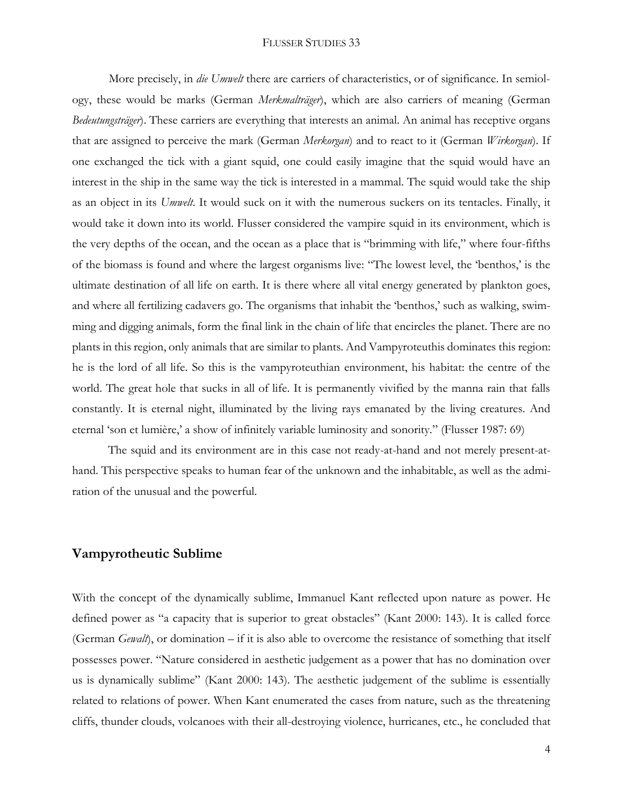More precisely, in *die Umwelt* there are carriers of characteristics, or of significance. In semiology, these would be marks (German *Merkmalträger*), which are also carriers of meaning (German *Bedeutungsträger*). These carriers are everything that interests an animal. An animal has receptive organs that are assigned to perceive the mark (German *Merkorgan*) and to react to it (German *Wirkorgan*). If one exchanged the tick with a giant squid, one could easily imagine that the squid would have an interest in the ship in the same way the tick is interested in a mammal. The squid would take the ship as an object in its *Umwelt*. It would suck on it with the numerous suckers on its tentacles. Finally, it would take it down into its world. Flusser considered the vampire squid in its environment, which is the very depths of the ocean, and the ocean as a place that is "brimming with life," where four-fifths of the biomass is found and where the largest organisms live: "The lowest level, the 'benthos,' is the ultimate destination of all life on earth. It is there where all vital energy generated by plankton goes, and where all fertilizing cadavers go. The organisms that inhabit the 'benthos,' such as walking, swimming and digging animals, form the final link in the chain of life that encircles the planet. There are no plants in this region, only animals that are similar to plants. And Vampyroteuthis dominates this region: he is the lord of all life. So this is the vampyroteuthian environment, his habitat: the centre of the world. The great hole that sucks in all of life. It is permanently vivified by the manna rain that falls constantly. It is eternal night, illuminated by the living rays emanated by the living creatures. And eternal 'son et lumière,' a show of infinitely variable luminosity and sonority." (Flusser 1987: 69)

The squid and its environment are in this case not ready-at-hand and not merely present-athand. This perspective speaks to human fear of the unknown and the inhabitable, as well as the admiration of the unusual and the powerful.

## **Vampyrotheutic Sublime**

With the concept of the dynamically sublime, Immanuel Kant reflected upon nature as power. He defined power as "a capacity that is superior to great obstacles" (Kant 2000: 143). It is called force (German *Gewalt*), or domination – if it is also able to overcome the resistance of something that itself possesses power. "Nature considered in aesthetic judgement as a power that has no domination over us is dynamically sublime" (Kant 2000: 143). The aesthetic judgement of the sublime is essentially related to relations of power. When Kant enumerated the cases from nature, such as the threatening cliffs, thunder clouds, volcanoes with their all-destroying violence, hurricanes, etc., he concluded that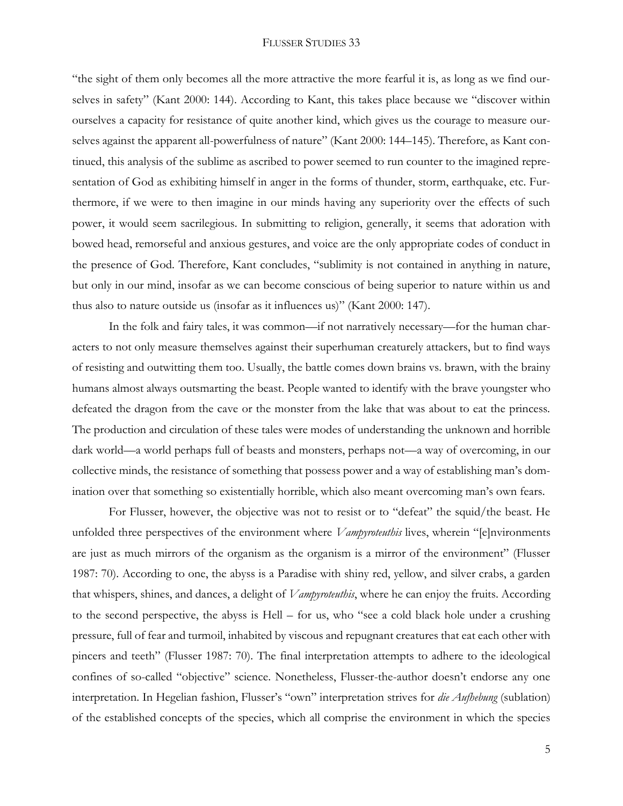"the sight of them only becomes all the more attractive the more fearful it is, as long as we find ourselves in safety" (Kant 2000: 144). According to Kant, this takes place because we "discover within ourselves a capacity for resistance of quite another kind, which gives us the courage to measure ourselves against the apparent all-powerfulness of nature" (Kant 2000: 144–145). Therefore, as Kant continued, this analysis of the sublime as ascribed to power seemed to run counter to the imagined representation of God as exhibiting himself in anger in the forms of thunder, storm, earthquake, etc. Furthermore, if we were to then imagine in our minds having any superiority over the effects of such power, it would seem sacrilegious. In submitting to religion, generally, it seems that adoration with bowed head, remorseful and anxious gestures, and voice are the only appropriate codes of conduct in the presence of God. Therefore, Kant concludes, "sublimity is not contained in anything in nature, but only in our mind, insofar as we can become conscious of being superior to nature within us and thus also to nature outside us (insofar as it influences us)" (Kant 2000: 147).

In the folk and fairy tales, it was common—if not narratively necessary—for the human characters to not only measure themselves against their superhuman creaturely attackers, but to find ways of resisting and outwitting them too. Usually, the battle comes down brains vs. brawn, with the brainy humans almost always outsmarting the beast. People wanted to identify with the brave youngster who defeated the dragon from the cave or the monster from the lake that was about to eat the princess. The production and circulation of these tales were modes of understanding the unknown and horrible dark world––a world perhaps full of beasts and monsters, perhaps not––a way of overcoming, in our collective minds, the resistance of something that possess power and a way of establishing man's domination over that something so existentially horrible, which also meant overcoming man's own fears.

For Flusser, however, the objective was not to resist or to "defeat" the squid/the beast. He unfolded three perspectives of the environment where *Vampyroteuthis* lives, wherein "[e]nvironments are just as much mirrors of the organism as the organism is a mirror of the environment" (Flusser 1987: 70). According to one, the abyss is a Paradise with shiny red, yellow, and silver crabs, a garden that whispers, shines, and dances, a delight of *Vampyroteuthis*, where he can enjoy the fruits. According to the second perspective, the abyss is Hell – for us, who "see a cold black hole under a crushing pressure, full of fear and turmoil, inhabited by viscous and repugnant creatures that eat each other with pincers and teeth" (Flusser 1987: 70). The final interpretation attempts to adhere to the ideological confines of so-called "objective" science. Nonetheless, Flusser-the-author doesn't endorse any one interpretation. In Hegelian fashion, Flusser's "own" interpretation strives for *die Aufhebung* (sublation) of the established concepts of the species, which all comprise the environment in which the species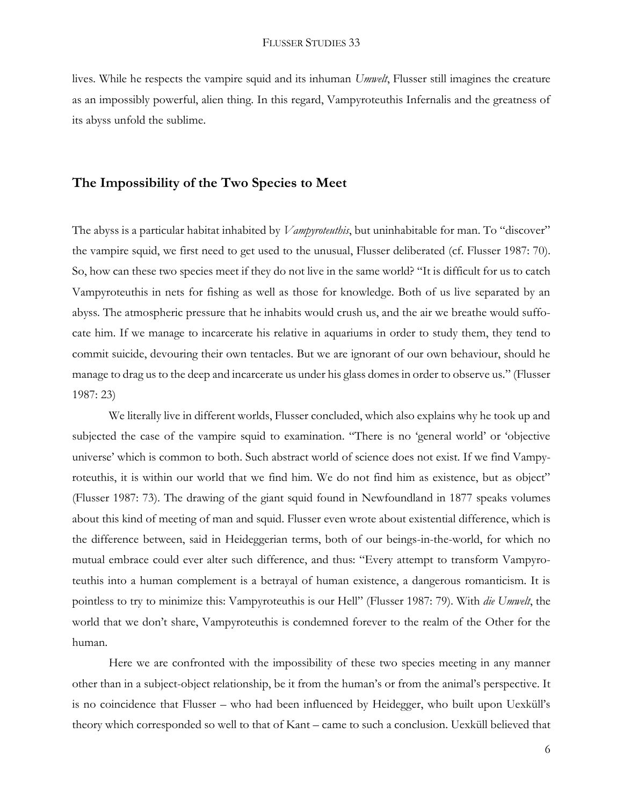lives. While he respects the vampire squid and its inhuman *Umwelt*, Flusser still imagines the creature as an impossibly powerful, alien thing. In this regard, Vampyroteuthis Infernalis and the greatness of its abyss unfold the sublime.

#### **The Impossibility of the Two Species to Meet**

The abyss is a particular habitat inhabited by *Vampyroteuthis*, but uninhabitable for man. To "discover" the vampire squid, we first need to get used to the unusual, Flusser deliberated (cf. Flusser 1987: 70). So, how can these two species meet if they do not live in the same world? "It is difficult for us to catch Vampyroteuthis in nets for fishing as well as those for knowledge. Both of us live separated by an abyss. The atmospheric pressure that he inhabits would crush us, and the air we breathe would suffocate him. If we manage to incarcerate his relative in aquariums in order to study them, they tend to commit suicide, devouring their own tentacles. But we are ignorant of our own behaviour, should he manage to drag us to the deep and incarcerate us under his glass domes in order to observe us." (Flusser 1987: 23)

We literally live in different worlds, Flusser concluded, which also explains why he took up and subjected the case of the vampire squid to examination. "There is no 'general world' or 'objective universe' which is common to both. Such abstract world of science does not exist. If we find Vampyroteuthis, it is within our world that we find him. We do not find him as existence, but as object" (Flusser 1987: 73). The drawing of the giant squid found in Newfoundland in 1877 speaks volumes about this kind of meeting of man and squid. Flusser even wrote about existential difference, which is the difference between, said in Heideggerian terms, both of our beings-in-the-world, for which no mutual embrace could ever alter such difference, and thus: "Every attempt to transform Vampyroteuthis into a human complement is a betrayal of human existence, a dangerous romanticism. It is pointless to try to minimize this: Vampyroteuthis is our Hell" (Flusser 1987: 79). With *die Umwelt*, the world that we don't share, Vampyroteuthis is condemned forever to the realm of the Other for the human.

Here we are confronted with the impossibility of these two species meeting in any manner other than in a subject-object relationship, be it from the human's or from the animal's perspective. It is no coincidence that Flusser – who had been influenced by Heidegger, who built upon Uexküll's theory which corresponded so well to that of Kant – came to such a conclusion. Uexküll believed that